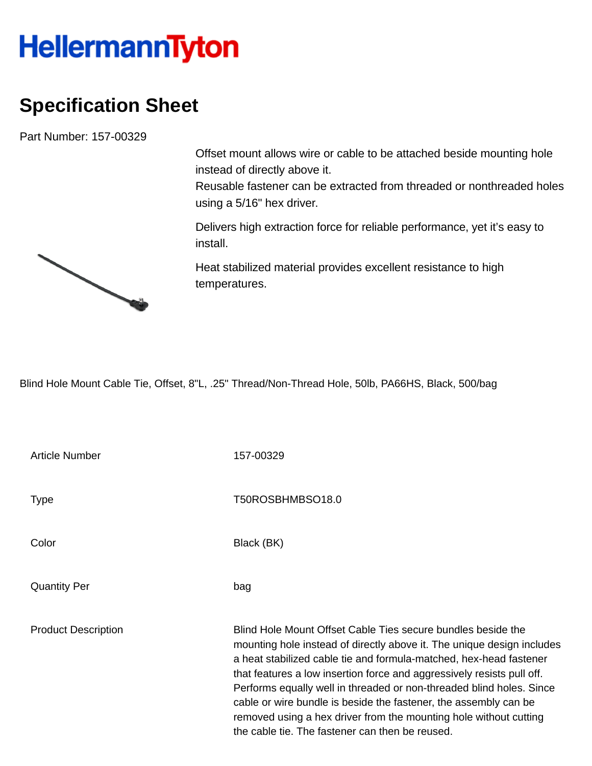## **HellermannTyton**

## **Specification Sheet**

Part Number: 157-00329

Offset mount allows wire or cable to be attached beside mounting hole instead of directly above it.

Reusable fastener can be extracted from threaded or nonthreaded holes using a 5/16" hex driver.

Delivers high extraction force for reliable performance, yet it's easy to install.

Heat stabilized material provides excellent resistance to high temperatures.

Blind Hole Mount Cable Tie, Offset, 8"L, .25" Thread/Non-Thread Hole, 50lb, PA66HS, Black, 500/bag

| <b>Article Number</b>      | 157-00329                                                                                                                                                                                                                                                                                                                                                                                                                                                                                                                                                  |
|----------------------------|------------------------------------------------------------------------------------------------------------------------------------------------------------------------------------------------------------------------------------------------------------------------------------------------------------------------------------------------------------------------------------------------------------------------------------------------------------------------------------------------------------------------------------------------------------|
| <b>Type</b>                | T50ROSBHMBSO18.0                                                                                                                                                                                                                                                                                                                                                                                                                                                                                                                                           |
| Color                      | Black (BK)                                                                                                                                                                                                                                                                                                                                                                                                                                                                                                                                                 |
| <b>Quantity Per</b>        | bag                                                                                                                                                                                                                                                                                                                                                                                                                                                                                                                                                        |
| <b>Product Description</b> | Blind Hole Mount Offset Cable Ties secure bundles beside the<br>mounting hole instead of directly above it. The unique design includes<br>a heat stabilized cable tie and formula-matched, hex-head fastener<br>that features a low insertion force and aggressively resists pull off.<br>Performs equally well in threaded or non-threaded blind holes. Since<br>cable or wire bundle is beside the fastener, the assembly can be<br>removed using a hex driver from the mounting hole without cutting<br>the cable tie. The fastener can then be reused. |

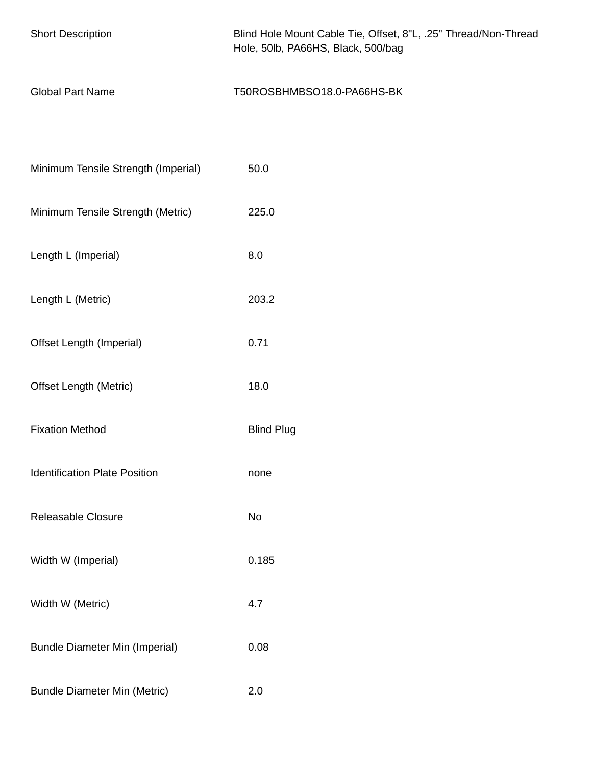| <b>Short Description</b>              | Blind Hole Mount Cable Tie, Offset, 8"L, .25" Thread/Non-Thread<br>Hole, 50lb, PA66HS, Black, 500/bag |
|---------------------------------------|-------------------------------------------------------------------------------------------------------|
| <b>Global Part Name</b>               | T50ROSBHMBSO18.0-PA66HS-BK                                                                            |
|                                       |                                                                                                       |
| Minimum Tensile Strength (Imperial)   | 50.0                                                                                                  |
| Minimum Tensile Strength (Metric)     | 225.0                                                                                                 |
| Length L (Imperial)                   | 8.0                                                                                                   |
| Length L (Metric)                     | 203.2                                                                                                 |
| Offset Length (Imperial)              | 0.71                                                                                                  |
| <b>Offset Length (Metric)</b>         | 18.0                                                                                                  |
| <b>Fixation Method</b>                | <b>Blind Plug</b>                                                                                     |
| <b>Identification Plate Position</b>  | none                                                                                                  |
| Releasable Closure                    | No                                                                                                    |
| Width W (Imperial)                    | 0.185                                                                                                 |
| Width W (Metric)                      | 4.7                                                                                                   |
| <b>Bundle Diameter Min (Imperial)</b> | 0.08                                                                                                  |
| <b>Bundle Diameter Min (Metric)</b>   | 2.0                                                                                                   |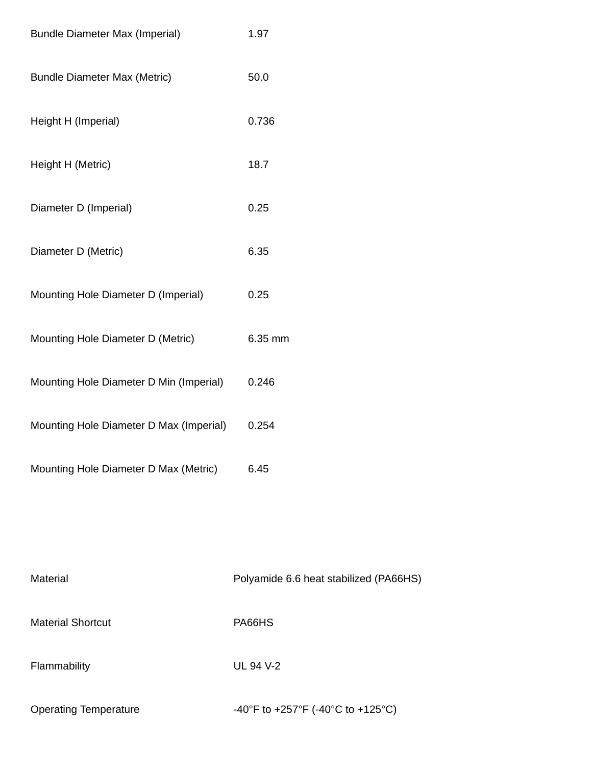| <b>Bundle Diameter Max (Imperial)</b>   | 1.97    |
|-----------------------------------------|---------|
| <b>Bundle Diameter Max (Metric)</b>     | 50.0    |
| Height H (Imperial)                     | 0.736   |
| Height H (Metric)                       | 18.7    |
| Diameter D (Imperial)                   | 0.25    |
| Diameter D (Metric)                     | 6.35    |
| Mounting Hole Diameter D (Imperial)     | 0.25    |
| Mounting Hole Diameter D (Metric)       | 6.35 mm |
| Mounting Hole Diameter D Min (Imperial) | 0.246   |
| Mounting Hole Diameter D Max (Imperial) | 0.254   |
| Mounting Hole Diameter D Max (Metric)   | 6.45    |

| Material                     | Polyamide 6.6 heat stabilized (PA66HS) |
|------------------------------|----------------------------------------|
| <b>Material Shortcut</b>     | PA66HS                                 |
| Flammability                 | UL 94 V-2                              |
| <b>Operating Temperature</b> | -40°F to +257°F (-40°C to +125°C)      |